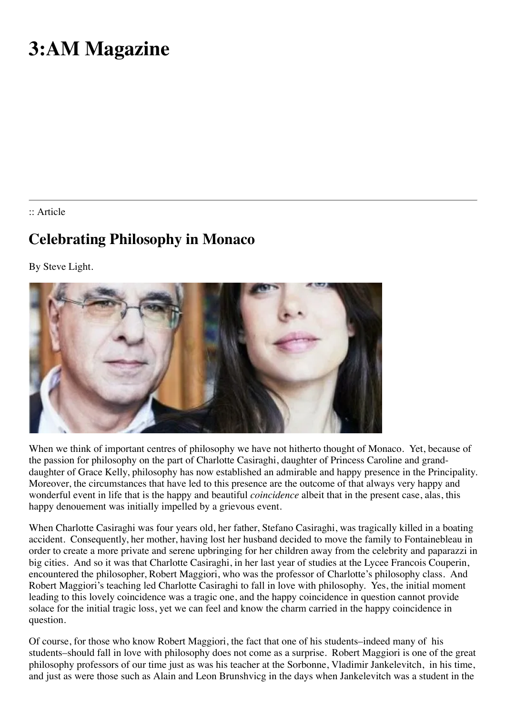## **3:AM Magazine**

:: Article

## **Celebrating Philosophy in Monaco**

By Steve Light.



When we think of important centres of philosophy we have not hitherto thought of Monaco. Yet, because of the passion for philosophy on the part of Charlotte Casiraghi, daughter of Princess Caroline and granddaughter of Grace Kelly, philosophy has now established an admirable and happy presence in the Principality. Moreover, the circumstances that have led to this presence are the outcome of that always very happy and wonderful event in life that is the happy and beautiful *coincidence* albeit that in the present case, alas, this happy denouement was initially impelled by a grievous event.

When Charlotte Casiraghi was four years old, her father, Stefano Casiraghi, was tragically killed in a boating accident. Consequently, her mother, having lost her husband decided to move the family to Fontainebleau in order to create a more private and serene upbringing for her children away from the celebrity and paparazzi in big cities. And so it was that Charlotte Casiraghi, in her last year of studies at the Lycee Francois Couperin, encountered the philosopher, Robert Maggiori, who was the professor of Charlotte's philosophy class. And Robert Maggiori's teaching led Charlotte Casiraghi to fall in love with philosophy. Yes, the initial moment leading to this lovely coincidence was a tragic one, and the happy coincidence in question cannot provide solace for the initial tragic loss, yet we can feel and know the charm carried in the happy coincidence in question.

Of course, for those who know Robert Maggiori, the fact that one of his students–indeed many of his students–should fall in love with philosophy does not come as a surprise. Robert Maggiori is one of the great philosophy professors of our time just as was his teacher at the Sorbonne, Vladimir Jankelevitch, in his time, and just as were those such as Alain and Leon Brunshvicg in the days when Jankelevitch was a student in the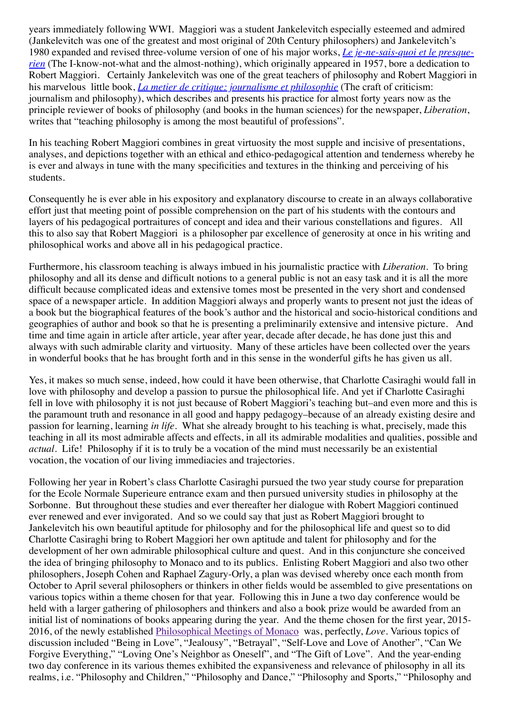years immediately following WWI. Maggiori was a student Jankelevitch especially esteemed and admired (Jankelevitch was one of the greatest and most original of 20th Century philosophers) and Jankelevitch's 1980 expanded and revised three-volume version of one of his major works, *Le je-ne-sais-quoi et le presquerien* [\(The I-know-not-what and the almost-nothing\), which originally appeared in 1957, bore a dedication to](http://www.amazon.co.uk/Je-Ne-Sais-Quoi-Presque-Rien-Manire-LOccasion-T1/dp/2020058103/ref=sr_1_1?s=books&ie=UTF8&qid=1526374877&sr=1-1&keywords=Le+je-ne-sais-quoi+et+le+presque-rien) Robert Maggiori. Certainly Jankelevitch was one of the great teachers of philosophy and Robert Maggiori in his marvelous little book, *[La metier de critique: journalisme et philosophie](http://www.amazon.co.uk/m%C3%A9tier-critique-Journalisme-philosophie/dp/2020988003/ref=sr_1_1?s=books&ie=UTF8&qid=1526374959&sr=1-1&keywords=La+metier+de+critique%3A+journalisme+et+philosophie)* (The craft of criticism: journalism and philosophy), which describes and presents his practice for almost forty years now as the principle reviewer of books of philosophy (and books in the human sciences) for the newspaper, *Liberation*, writes that "teaching philosophy is among the most beautiful of professions".

In his teaching Robert Maggiori combines in great virtuosity the most supple and incisive of presentations, analyses, and depictions together with an ethical and ethico-pedagogical attention and tenderness whereby he is ever and always in tune with the many specificities and textures in the thinking and perceiving of his students.

Consequently he is ever able in his expository and explanatory discourse to create in an always collaborative effort just that meeting point of possible comprehension on the part of his students with the contours and layers of his pedagogical portraitures of concept and idea and their various constellations and figures. All this to also say that Robert Maggiori is a philosopher par excellence of generosity at once in his writing and philosophical works and above all in his pedagogical practice.

Furthermore, his classroom teaching is always imbued in his journalistic practice with *Liberation*. To bring philosophy and all its dense and difficult notions to a general public is not an easy task and it is all the more difficult because complicated ideas and extensive tomes most be presented in the very short and condensed space of a newspaper article. In addition Maggiori always and properly wants to present not just the ideas of a book but the biographical features of the book's author and the historical and socio-historical conditions and geographies of author and book so that he is presenting a preliminarily extensive and intensive picture. And time and time again in article after article, year after year, decade after decade, he has done just this and always with such admirable clarity and virtuosity. Many of these articles have been collected over the years in wonderful books that he has brought forth and in this sense in the wonderful gifts he has given us all.

Yes, it makes so much sense, indeed, how could it have been otherwise, that Charlotte Casiraghi would fall in love with philosophy and develop a passion to pursue the philosophical life. And yet if Charlotte Casiraghi fell in love with philosophy it is not just because of Robert Maggiori's teaching but–and even more and this is the paramount truth and resonance in all good and happy pedagogy–because of an already existing desire and passion for learning, learning *in life*. What she already brought to his teaching is what, precisely, made this teaching in all its most admirable affects and effects, in all its admirable modalities and qualities, possible and *actual*. Life! Philosophy if it is to truly be a vocation of the mind must necessarily be an existential vocation, the vocation of our living immediacies and trajectories.

Following her year in Robert's class Charlotte Casiraghi pursued the two year study course for preparation for the Ecole Normale Superieure entrance exam and then pursued university studies in philosophy at the Sorbonne. But throughout these studies and ever thereafter her dialogue with Robert Maggiori continued ever renewed and ever invigorated. And so we could say that just as Robert Maggiori brought to Jankelevitch his own beautiful aptitude for philosophy and for the philosophical life and quest so to did Charlotte Casiraghi bring to Robert Maggiori her own aptitude and talent for philosophy and for the development of her own admirable philosophical culture and quest. And in this conjuncture she conceived the idea of bringing philosophy to Monaco and to its publics. Enlisting Robert Maggiori and also two other philosophers, Joseph Cohen and Raphael Zagury-Orly, a plan was devised whereby once each month from October to April several philosophers or thinkers in other fields would be assembled to give presentations on various topics within a theme chosen for that year. Following this in June a two day conference would be held with a larger gathering of philosophers and thinkers and also a book prize would be awarded from an initial list of nominations of books appearing during the year. And the theme chosen for the first year, 2015- 2016, of the newly established [Philosophical Meetings of Monaco](http://philomonaco.com/) was, perfectly, *Love*. Various topics of discussion included "Being in Love", "Jealousy", "Betrayal", "Self-Love and Love of Another", "Can We Forgive Everything," "Loving One's Neighbor as Oneself", and "The Gift of Love". And the year-ending two day conference in its various themes exhibited the expansiveness and relevance of philosophy in all its realms, i.e. "Philosophy and Children," "Philosophy and Dance," "Philosophy and Sports," "Philosophy and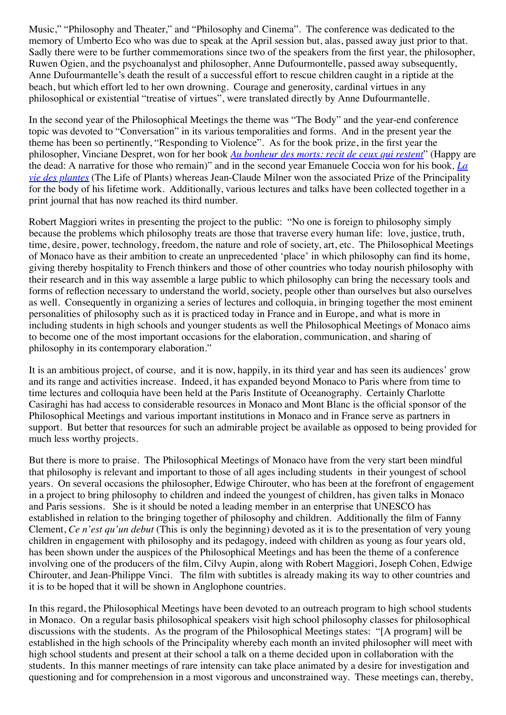Music," "Philosophy and Theater," and "Philosophy and Cinema". The conference was dedicated to the memory of Umberto Eco who was due to speak at the April session but, alas, passed away just prior to that. Sadly there were to be further commemorations since two of the speakers from the first year, the philosopher, Ruwen Ogien, and the psychoanalyst and philosopher, Anne Dufourmontelle, passed away subsequently, Anne Dufourmantelle's death the result of a successful effort to rescue children caught in a riptide at the beach, but which effort led to her own drowning. Courage and generosity, cardinal virtues in any philosophical or existential "treatise of virtues", were translated directly by Anne Dufourmantelle.

In the second year of the Philosophical Meetings the theme was "The Body" and the year-end conference topic was devoted to "Conversation" in its various temporalities and forms. And in the present year the theme has been so pertinently, "Responding to Violence". As for the book prize, in the first year the philosopher, Vinciane Despret, won for her book *[Au bonheur des morts: recit de ceux qui restent](http://www.amazon.co.uk/Au-bonheur-morts-R%C3%A9cits-restent/dp/2359251252/ref=sr_1_fkmr0_1?s=books&ie=UTF8&qid=1526374598&sr=1-1-fkmr0&keywords=au+bonheur+des+morts%3A+revit+de+ceux+qui+resistent)*" (Happy are [the dead: A narrative for those who remain\)" and in the second year Emanuele Coccia won for his book](http://www.amazon.co.uk/vie-plantes-Une-m%C3%A9taphysique-m%C3%A9lange/dp/2743638001/ref=sr_1_1?s=books&ie=UTF8&qid=1526374645&sr=1-1&keywords=La+vie+des+plantes)*, La vie des plantes* (The Life of Plants) whereas Jean-Claude Milner won the associated Prize of the Principality for the body of his lifetime work. Additionally, various lectures and talks have been collected together in a print journal that has now reached its third number.

Robert Maggiori writes in presenting the project to the public: "No one is foreign to philosophy simply because the problems which philosophy treats are those that traverse every human life: love, justice, truth, time, desire, power, technology, freedom, the nature and role of society, art, etc. The Philosophical Meetings of Monaco have as their ambition to create an unprecedented 'place' in which philosophy can find its home, giving thereby hospitality to French thinkers and those of other countries who today nourish philosophy with their research and in this way assemble a large public to which philosophy can bring the necessary tools and forms of reflection necessary to understand the world, society, people other than ourselves but also ourselves as well. Consequently in organizing a series of lectures and colloquia, in bringing together the most eminent personalities of philosophy such as it is practiced today in France and in Europe, and what is more in including students in high schools and younger students as well the Philosophical Meetings of Monaco aims to become one of the most important occasions for the elaboration, communication, and sharing of philosophy in its contemporary elaboration."

It is an ambitious project, of course, and it is now, happily, in its third year and has seen its audiences' grow and its range and activities increase. Indeed, it has expanded beyond Monaco to Paris where from time to time lectures and colloquia have been held at the Paris Institute of Oceanography. Certainly Charlotte Casiraghi has had access to considerable resources in Monaco and Mont Blanc is the official sponsor of the Philosophical Meetings and various important institutions in Monaco and in France serve as partners in support. But better that resources for such an admirable project be available as opposed to being provided for much less worthy projects.

But there is more to praise. The Philosophical Meetings of Monaco have from the very start been mindful that philosophy is relevant and important to those of all ages including students in their youngest of school years. On several occasions the philosopher, Edwige Chirouter, who has been at the forefront of engagement in a project to bring philosophy to children and indeed the youngest of children, has given talks in Monaco and Paris sessions. She is it should be noted a leading member in an enterprise that UNESCO has established in relation to the bringing together of philosophy and children. Additionally the film of Fanny Clement, *Ce n'est qu'un debut* (This is only the beginning) devoted as it is to the presentation of very young children in engagement with philosophy and its pedagogy, indeed with children as young as four years old, has been shown under the auspices of the Philosophical Meetings and has been the theme of a conference involving one of the producers of the film, Cilvy Aupin, along with Robert Maggiori, Joseph Cohen, Edwige Chirouter, and Jean-Philippe Vinci. The film with subtitles is already making its way to other countries and it is to be hoped that it will be shown in Anglophone countries.

In this regard, the Philosophical Meetings have been devoted to an outreach program to high school students in Monaco. On a regular basis philosophical speakers visit high school philosophy classes for philosophical discussions with the students. As the program of the Philosophical Meetings states: "[A program] will be established in the high schools of the Principality whereby each month an invited philosopher will meet with high school students and present at their school a talk on a theme decided upon in collaboration with the students. In this manner meetings of rare intensity can take place animated by a desire for investigation and questioning and for comprehension in a most vigorous and unconstrained way. These meetings can, thereby,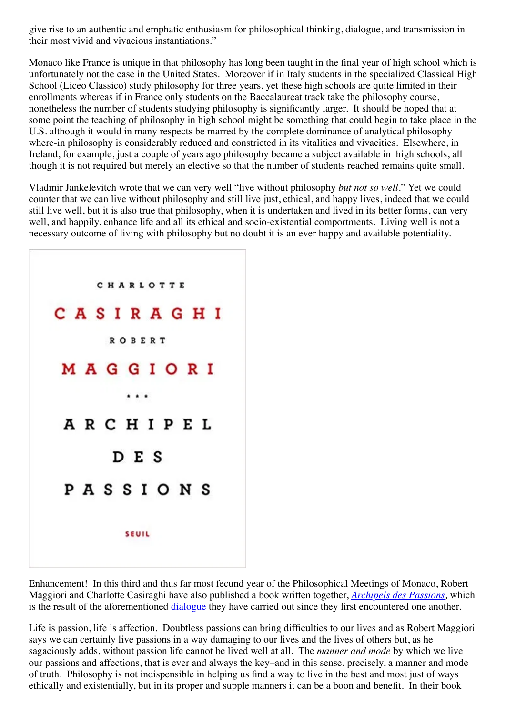give rise to an authentic and emphatic enthusiasm for philosophical thinking, dialogue, and transmission in their most vivid and vivacious instantiations."

Monaco like France is unique in that philosophy has long been taught in the final year of high school which is unfortunately not the case in the United States. Moreover if in Italy students in the specialized Classical High School (Liceo Classico) study philosophy for three years, yet these high schools are quite limited in their enrollments whereas if in France only students on the Baccalaureat track take the philosophy course, nonetheless the number of students studying philosophy is significantly larger. It should be hoped that at some point the teaching of philosophy in high school might be something that could begin to take place in the U.S. although it would in many respects be marred by the complete dominance of analytical philosophy where-in philosophy is considerably reduced and constricted in its vitalities and vivacities. Elsewhere, in Ireland, for example, just a couple of years ago philosophy became a subject available in high schools, all though it is not required but merely an elective so that the number of students reached remains quite small.

Vladmir Jankelevitch wrote that we can very well "live without philosophy *but not so well*." Yet we could counter that we can live without philosophy and still live just, ethical, and happy lives, indeed that we could still live well, but it is also true that philosophy, when it is undertaken and lived in its better forms, can very well, and happily, enhance life and all its ethical and socio-existential comportments. Living well is not a necessary outcome of living with philosophy but no doubt it is an ever happy and available potentiality.



Enhancement! In this third and thus far most fecund year of the Philosophical Meetings of Monaco, Robert Maggiori and Charlotte Casiraghi have also published a book written together, *[Archipels des Passions,](http://www.amazon.co.uk/Archipel-passions-Charlotte-Casiraghi/dp/2021335747)* which is the result of the aforementioned *dialogue* they have carried out since they first encountered one another.

Life is passion, life is affection. Doubtless passions can bring difficulties to our lives and as Robert Maggiori says we can certainly live passions in a way damaging to our lives and the lives of others but, as he sagaciously adds, without passion life cannot be lived well at all. The *manner and mode* by which we live our passions and affections, that is ever and always the key–and in this sense, precisely, a manner and mode of truth. Philosophy is not indispensible in helping us find a way to live in the best and most just of ways ethically and existentially, but in its proper and supple manners it can be a boon and benefit. In their book